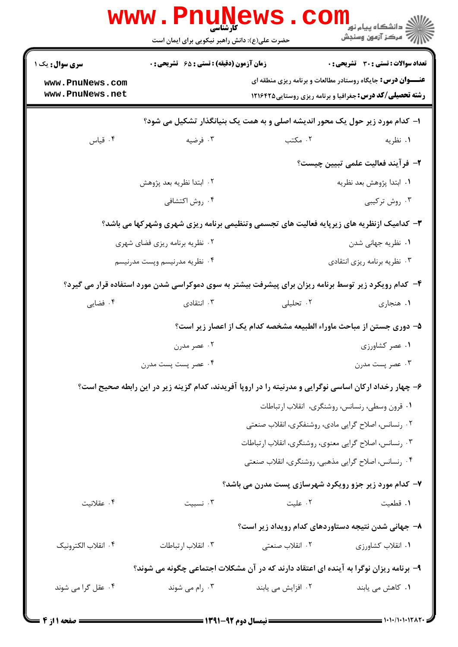|                                    | <b>www.PnuNews</b><br>کارشناسی<br>حضرت علی(ع): دانش راهبر نیکویی برای ایمان است |                                                                                                                                        | د<br>د انشگاه پيام نور<br>رِ ۖ مرڪز آزمون وسنڊش |  |
|------------------------------------|---------------------------------------------------------------------------------|----------------------------------------------------------------------------------------------------------------------------------------|-------------------------------------------------|--|
| <b>سری سوال :</b> یک ۱             | زمان آزمون (دقیقه) : تستی : ۶۵ گشریحی : 0                                       | تعداد سوالات : تستى : 30 - تشريحي : 0                                                                                                  |                                                 |  |
| www.PnuNews.com<br>www.PnuNews.net |                                                                                 | <b>عنـــوان درس:</b> جایگاه روستادر مطالعات و برنامه ریزی منطقه ای<br><b>رشته تحصیلی/کد درس:</b> جغرافیا و برنامه ریزی روستایی ۱۲۱۶۴۲۵ |                                                 |  |
|                                    |                                                                                 | ا- کدام مورد زیر حول یک محور اندیشه اصلی و به همت یک بنیانگذار تشکیل می شود؟                                                           |                                                 |  |
| ۰۴ قیاس                            | ۰۳ فرضیه                                                                        | ۰۲ مکتب                                                                                                                                | ۰۱ نظریه                                        |  |
|                                    |                                                                                 |                                                                                                                                        | ۲- فرآیند فعالیت علمی تبیین چیست؟               |  |
|                                    | ۰۲ ابتدا نظریه بعد پژوهش                                                        | ٠١. ابتدا پژوهش بعد نظريه                                                                                                              |                                                 |  |
|                                    | ۰۴ روش اکتشافی                                                                  |                                                                                                                                        | ۰۳ روش ترکیبی                                   |  |
|                                    |                                                                                 | ۳- کدامیک ازنظریه های زیرپایه فعالیت های تجسمی وتنظیمی برنامه ریزی شهری وشهرکها می باشد؟                                               |                                                 |  |
| ۰۲ نظریه برنامه ریزی فضای شهری     |                                                                                 | ۰۱ نظریه جهانی شدن                                                                                                                     |                                                 |  |
|                                    | ۰۴ نظریه مدرنیسم وپست مدرنیسم                                                   | ۰۳ نظریه برنامه ریزی انتقادی                                                                                                           |                                                 |  |
|                                    |                                                                                 | ۴- کدام رویکرد زیر توسط برنامه ریزان برای پیشرفت بیشتر به سوی دموکراسی شدن مورد استفاده قرار می گیرد؟                                  |                                                 |  |
| ۰۴ فضایی                           | ۰۳ انتقادی                                                                      | ۰۲ تحلیلی                                                                                                                              | ۰۱ هنجاری                                       |  |
|                                    |                                                                                 | ۵– دوری جستن از مباحث ماوراء الطبیعه مشخصه کدام یک از اعصار زیر است؟                                                                   |                                                 |  |
|                                    | ۰۲ عصر مدرن                                                                     |                                                                                                                                        | ۰۱ عصر کشاورزی                                  |  |
|                                    | ۰۴ عصر پست پست مدرن                                                             |                                                                                                                                        | ۰۳ عصر پست مدرن                                 |  |
|                                    |                                                                                 | ۶- چهار رخداد ارکان اساسی نوگرایی و مدرنیته را در اروپا آفریدند، کدام گزینه زیر در این رابطه صحیح است؟                                 |                                                 |  |
|                                    |                                                                                 | ٠١ قرون وسطى، رنسانس، روشنگرى، انقلاب ارتباطات                                                                                         |                                                 |  |
|                                    |                                                                                 | ۰۲ رنسانس، اصلاح گرایی مادی، روشنفکری، انقلاب صنعتی                                                                                    |                                                 |  |
|                                    |                                                                                 | ۰۳ رنسانس، اصلاح گرایی معنوی، روشنگری، انقلاب ارتباطات                                                                                 |                                                 |  |
|                                    |                                                                                 | ۰۴ رنسانس، اصلاح گرایی مذهبی، روشنگری، انقلاب صنعتی                                                                                    |                                                 |  |
|                                    |                                                                                 | ۷- کدام مورد زیر جزو رویکرد شهرسازی پست مدرن می باشد؟                                                                                  |                                                 |  |
| ۰۴ عقلانیت                         | ۰۳ نسبیت                                                                        | ۰۲ علیت                                                                                                                                | ۰۱ قطعیت                                        |  |
|                                    |                                                                                 | ۸– جهانی شدن نتیجه دستاوردهای کدام رویداد زیر است؟                                                                                     |                                                 |  |
| ۰۴ انقلاب الكترونيك                | ۰۳ انقلاب ارتباطات                                                              | ٢. انقلاب صنعتي                                                                                                                        | ۰۱ انقلاب کشاورزی                               |  |
|                                    |                                                                                 | ۹– برنامه ریزان نوگرا به آینده ای اعتقاد دارند که در آن مشکلات اجتماعی چگونه می شوند؟                                                  |                                                 |  |
| ۰۴ عقل گرا می شوند                 | ۰۳ رام می شوند                                                                  | ۰۲ افزایش می یابند                                                                                                                     | ۰۱ کاهش می یابند                                |  |
|                                    |                                                                                 |                                                                                                                                        | $\frac{1}{2}$ 1.1./1.1.1747.                    |  |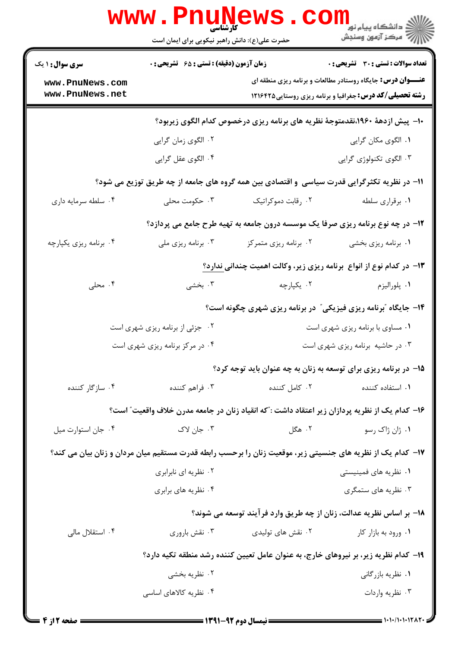|                                    | حضرت علی(ع): دانش راهبر نیکویی برای ایمان است                                      | www.Pnunews.co                                                                                             | ڪ دانشڪاه پيام نور ■<br><mark>ر</mark> ڳ مرڪز آزمون وسنجش                                                                             |
|------------------------------------|------------------------------------------------------------------------------------|------------------------------------------------------------------------------------------------------------|---------------------------------------------------------------------------------------------------------------------------------------|
| <b>سری سوال : ۱ یک</b>             | زمان آزمون (دقیقه) : تستی : ۶۵ گشریحی : 0<br>تعداد سوالات : تستي : 30 ٪ تشريحي : 0 |                                                                                                            |                                                                                                                                       |
| www.PnuNews.com<br>www.PnuNews.net |                                                                                    |                                                                                                            | <b>عنـــوان درس:</b> جایگاه روستادر مطالعات و برنامه ریزی منطقه ای<br><b>رشته تحصیلی/کد درس:</b> جغرافیا و برنامه ریزی روستایی1۲۱۶۴۲۵ |
|                                    |                                                                                    | ∙ا− پیش ازدههٔ ۱۹۶۰،نقدمتوجهٔ نظریه های برنامه ریزی درخصوص کدام الگوی زیربود؟                              |                                                                                                                                       |
|                                    | ۰۲ الگوی زمان گرایی                                                                |                                                                                                            | ۰۱. الگوی مکان گرایی                                                                                                                  |
|                                    | ۰۴ الگوی عقل گرایی                                                                 |                                                                                                            | ۰۳ الگوی تکنولوژی گرایی                                                                                                               |
|                                    |                                                                                    | 11- در نظریه تکثرگرایی قدرت سیاسی و اقتصادی بین همه گروه های جامعه از چه طریق توزیع می شود؟                |                                                                                                                                       |
| ۰۴ سلطه سرمایه داری                | ۰۳ حکومت محلی                                                                      | ۰۲ رقابت دموکراتیک                                                                                         | ٠١. برقراري سلطه                                                                                                                      |
|                                    |                                                                                    | 1۲– در چه نوع برنامه ریزی صرفا یک موسسه درون جامعه به تهیه طرح جامع می پردازد؟                             |                                                                                                                                       |
| ۰۴ برنامه ریزی یکپارچه             | ۰۳ برنامه ریزی ملی                                                                 | ۰۲ برنامه ریزی متمرکز                                                                                      | ۰۱ برنامه ریزی بخشی                                                                                                                   |
|                                    |                                                                                    | ۱۳- در کدام نوع از انواع ً برنامه ریزی زیر، وکالت اهمیت چندانی ندارد؟                                      |                                                                                                                                       |
| ۰۴ محلی                            | ۰۳ بخشی                                                                            | ۰۲ يکپارچه                                                                                                 | ۰۱ پلوراليزم                                                                                                                          |
|                                    |                                                                                    | ۱۴- جایگاه "برنامه ریزی فیزیکی" در برنامه ریزی شهری چگونه است؟                                             |                                                                                                                                       |
|                                    | ۰۲ جزئی از برنامه ریزی شهری است                                                    | ۰۱ مساوی با برنامه ریزی شهری است                                                                           |                                                                                                                                       |
|                                    | ۰۴ در مرکز برنامه ریزی شهری است                                                    | ۰۳ در حاشیه برنامه ریزی شهری است                                                                           |                                                                                                                                       |
|                                    |                                                                                    | ۱۵– در برنامه ریزی برای توسعه به زنان به چه عنوان باید توجه کرد؟                                           |                                                                                                                                       |
| ۰۴ سازگار کننده                    | ۰۳ فراهم کننده                                                                     | ۰۲ کامل کننده                                                                                              | ٠١. استفاده كننده                                                                                                                     |
|                                    |                                                                                    | ۱۶– کدام یک از نظریه پردازان زیر اعتقاد داشت :"که انقیاد زنان در جامعه مدرن خلاف واقعیت" است؟              |                                                                                                                                       |
| ۰۴ جان استوارت ميل                 | ۰۳ جان لاک                                                                         | ۰۲ هگل                                                                                                     | ۰۱ ژان ژاک رسو                                                                                                                        |
|                                    |                                                                                    | ۱۷– کدام یک از نظریه های جنسیتی زیر، موقعیت زنان را برحسب رابطه قدرت مستقیم میان مردان و زنان بیان می کند؟ |                                                                                                                                       |
|                                    | ۰۲ نظریه ای نابرابری                                                               |                                                                                                            | ۰۱ نظریه های فمینیستی                                                                                                                 |
|                                    | ۰۴ نظریه های برابری                                                                |                                                                                                            | ۰۳ نظریه های ستمگری                                                                                                                   |
|                                    |                                                                                    | 18- بر اساس نظریه عدالت، زنان از چه طریق وارد فرآیند توسعه می شوند؟                                        |                                                                                                                                       |
| ۰۴ استقلال مالی                    | ۰۳ نقش باروري                                                                      | ۰۲ نقش های تولیدی                                                                                          | ۰۱ ورود به بازار کار                                                                                                                  |
|                                    |                                                                                    | ۱۹– کدام نظریه زیر، بر نیروهای خارج، به عنوان عامل تعیین کننده رشد منطقه تکیه دارد؟                        |                                                                                                                                       |
|                                    | ۰۲ نظریه بخشی                                                                      |                                                                                                            | ۰۱ نظریه بازرگانی                                                                                                                     |
|                                    | ۰۴ نظریه کالاهای اساسی                                                             |                                                                                                            | ۰۳ نظریه واردات                                                                                                                       |
|                                    |                                                                                    |                                                                                                            |                                                                                                                                       |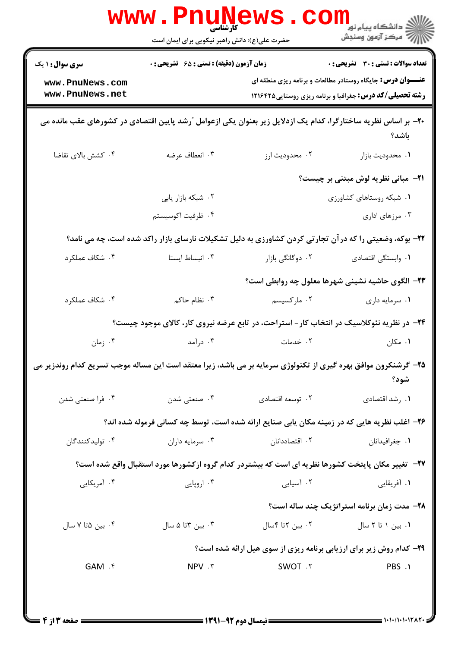| <b>تعداد سوالات : تستي : 30 ٪ تشريحي : 0</b>                       |                                                                                                                | <b>زمان آزمون (دقیقه) : تستی : 65 - تشریحی : 0</b> | <b>سری سوال : ۱ یک</b>                                                                                          |
|--------------------------------------------------------------------|----------------------------------------------------------------------------------------------------------------|----------------------------------------------------|-----------------------------------------------------------------------------------------------------------------|
| <b>عنـــوان درس:</b> جایگاه روستادر مطالعات و برنامه ریزی منطقه ای |                                                                                                                |                                                    | www.PnuNews.com                                                                                                 |
| <b>رشته تحصیلی/کد درس:</b> جغرافیا و برنامه ریزی روستایی۱۲۱۶۴۲۵    |                                                                                                                |                                                    | www.PnuNews.net                                                                                                 |
| باشد؟                                                              | +۲- بر اساس نظریه ساختارگرا، کدام یک ازدلایل زیر بعنوان یکی ازعوامل ″رشد پایین اقتصادی در کشورهای عقب مانده می |                                                    |                                                                                                                 |
| ٠١. محدوديت بازار                                                  | ۰۲ محدودیت ارز                                                                                                 | ۰۳ انعطاف عرضه                                     | ۰۴ کشش بالای تقاضا                                                                                              |
| <b>۲۱</b> - مبانی نظریه لوش مبتنی بر چیست؟                         |                                                                                                                |                                                    |                                                                                                                 |
| ۰۱ شبکه روستاهای کشاورزی                                           |                                                                                                                | ۰۲ شبکه بازار یابی                                 |                                                                                                                 |
| ۰۳ مرزهای اداری                                                    |                                                                                                                | ۰۴ ظرفيت اكوسيستم                                  |                                                                                                                 |
|                                                                    | ۲۲- بوکه، وضعیتی را که در آن تجارتی کردن کشاورزی به دلیل تشکیلات نارسای بازار راکد شده است، چه می نامد؟        |                                                    |                                                                                                                 |
| ٠١. وابستكي اقتصادي                                                | ۰۲ دوگانگی بازار                                                                                               | ۰۳ انبساط ایستا                                    | ۰۴ شكاف عملكرد                                                                                                  |
|                                                                    | ۲۳– الگوی حاشیه نشینی شهرها معلول چه روابطی است؟                                                               |                                                    |                                                                                                                 |
| ۰۱ سرمایه داری                                                     | ۰۲ مارکسیسم                                                                                                    | ۰۳ نظام حاکم                                       | ۰۴ شكاف عملكرد                                                                                                  |
|                                                                    | ۲۴- در نظریه نئوکلاسیک در انتخاب کار- استراحت، در تابع عرضه نیروی کار، کالای موجود چیست؟                       |                                                    |                                                                                                                 |
| ۰۱ مکان                                                            | ۰۲ خدمات                                                                                                       | ۰۳ درآمد                                           | ۰۴ زمان                                                                                                         |
| شود؟                                                               |                                                                                                                |                                                    | ۲۵– گرشنکرون موافق بهره گیری از تکنولوژی سرمایه بر می باشد، زیرا معتقد است این مساله موجب تسریع کدام روندزیر می |
| ۰۱ رشد اقتصادی                                                     | ۰۲ توسعه اقتصادي                                                                                               | ۰۳ صنعتی شدن                                       | ۰۴ فرا صنعتی شدن                                                                                                |
|                                                                    | ۲۶– اغلب نظریه هایی که در زمینه مکان یابی صنایع ارائه شده است، توسط چه کسانی فرموله شده اند؟                   |                                                    |                                                                                                                 |
| ۰۱ جغرافیدانان                                                     | ۰۲ اقتصاددانان                                                                                                 | ۰۳ سرمايه داران                                    | ۰۴ تولیدکنندگان                                                                                                 |
|                                                                    | <b>۳۷</b> – تغییر مکان پایتخت کشورها نظریه ای است که بیشتردر کدام گروه ازکشورها مورد استقبال واقع شده است؟     |                                                    |                                                                                                                 |
| ۰۱ آفریقایی                                                        | ۰۲ آسیایی                                                                                                      | ۰۳ اروپایی                                         | ۰۴ آمریکایی                                                                                                     |
| ۲۸- مدت زمان برنامه استراتژیک چند ساله است؟                        |                                                                                                                |                                                    |                                                                                                                 |
| ۰۱ بین ۱ تا ۲ سال                                                  | ۰۲ بین ۲تا ۴سال                                                                                                | ۰۳ بین ۳تا ۵ سال                                   | ۰۴ بین ۵تا ۷ سال                                                                                                |
|                                                                    | <b>۲۹</b> - کدام روش زیر برای ارزیابی برنامه ریزی از سوی هیل ارائه شده است؟                                    |                                                    |                                                                                                                 |
| PBS .1                                                             | SWOT . ٢                                                                                                       | NPV . ٣                                            | GAM .f                                                                                                          |